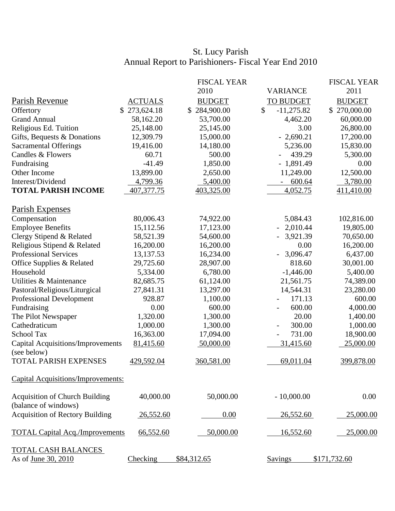## St. Lucy Parish Annual Report to Parishioners- Fiscal Year End 2010

|                                                               |                | <b>FISCAL YEAR</b> |                                    | <b>FISCAL YEAR</b> |
|---------------------------------------------------------------|----------------|--------------------|------------------------------------|--------------------|
|                                                               |                | 2010               | <b>VARIANCE</b>                    | 2011               |
| Parish Revenue                                                | <b>ACTUALS</b> | <b>BUDGET</b>      | <b>TO BUDGET</b>                   | <b>BUDGET</b>      |
| Offertory                                                     | 273,624.18     | 284,900.00         | \$<br>$-11,275.82$                 | \$270,000.00       |
| <b>Grand Annual</b>                                           | 58,162.20      | 53,700.00          | 4,462.20                           | 60,000.00          |
| Religious Ed. Tuition                                         | 25,148.00      | 25,145.00          | 3.00                               | 26,800.00          |
| Gifts, Bequests & Donations                                   | 12,309.79      | 15,000.00          | $-2,690.21$                        | 17,200.00          |
| <b>Sacramental Offerings</b>                                  | 19,416.00      | 14,180.00          | 5,236.00                           | 15,830.00          |
| Candles & Flowers                                             | 60.71          | 500.00             | 439.29                             | 5,300.00           |
| Fundraising                                                   | $-41.49$       | 1,850.00           | $-1,891.49$                        | 0.00               |
| Other Income                                                  | 13,899.00      | 2,650.00           | 11,249.00                          | 12,500.00          |
| Interest/Dividend                                             | 4,799.36       | 5,400.00           | 600.64                             | 3,780.00           |
| <b>TOTAL PARISH INCOME</b>                                    | 407,377.75     | 403,325.00         | 4,052.75                           | 411,410.00         |
| <b>Parish Expenses</b>                                        |                |                    |                                    |                    |
| Compensation                                                  | 80,006.43      | 74,922.00          | 5,084.43                           | 102,816.00         |
| <b>Employee Benefits</b>                                      | 15,112.56      | 17,123.00          | $-2,010.44$                        | 19,805.00          |
| Clergy Stipend & Related                                      | 58,521.39      | 54,600.00          | 3,921.39                           | 70,650.00          |
| Religious Stipend & Related                                   | 16,200.00      | 16,200.00          | 0.00                               | 16,200.00          |
| <b>Professional Services</b>                                  | 13,137.53      | 16,234.00          | 3,096.47                           | 6,437.00           |
| Office Supplies & Related                                     | 29,725.60      | 28,907.00          | 818.60                             | 30,001.00          |
| Household                                                     | 5,334.00       | 6,780.00           | $-1,446.00$                        | 5,400.00           |
| Utilities & Maintenance                                       | 82,685.75      | 61,124.00          | 21,561.75                          | 74,389.00          |
| Pastoral/Religious/Liturgical                                 | 27,841.31      | 13,297.00          | 14,544.31                          | 23,280.00          |
| <b>Professional Development</b>                               | 928.87         | 1,100.00           | 171.13                             | 600.00             |
| Fundraising                                                   | 0.00           | 600.00             | 600.00<br>$\overline{\phantom{0}}$ | 4,000.00           |
| The Pilot Newspaper                                           | 1,320.00       | 1,300.00           | 20.00                              | 1,400.00           |
| Cathedraticum                                                 | 1,000.00       | 1,300.00           | 300.00<br>$\overline{\phantom{a}}$ | 1,000.00           |
| <b>School Tax</b>                                             | 16,363.00      | 17,094.00          | 731.00                             | 18,900.00          |
| Capital Acquisitions/Improvements<br>(see below)              | 81,415.60      | 50,000.00          | 31,415.60                          | 25,000.00          |
| <b>TOTAL PARISH EXPENSES</b>                                  | 429,592.04     | 360,581.00         | 69,011.04                          | 399,878.00         |
| Capital Acquisitions/Improvements:                            |                |                    |                                    |                    |
| <b>Acquisition of Church Building</b><br>(balance of windows) | 40,000.00      | 50,000.00          | $-10,000.00$                       | 0.00               |
| <b>Acquisition of Rectory Building</b>                        | 26,552.60      | 0.00               | 26,552.60                          | 25,000.00          |
| <b>TOTAL Capital Acq./Improvements</b>                        | 66,552.60      | 50,000.00          | 16,552.60                          | 25,000.00          |
| <b>TOTAL CASH BALANCES</b>                                    |                |                    |                                    |                    |
| As of June 30, 2010                                           | Checking       | \$84,312.65        | <b>Savings</b>                     | \$171,732.60       |